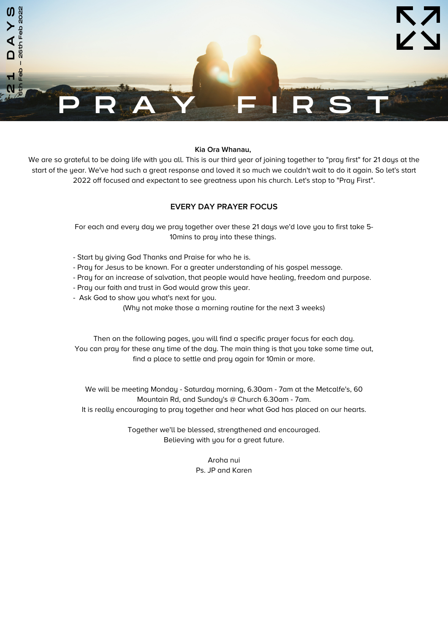

# **Kia Ora Whanau,**

We are so grateful to be doing life with you all. This is our third year of joining together to "pray first" for 21 days at the start of the year. We've had such a great response and loved it so much we couldn't wait to do it again. So let's start 2022 off focused and expectant to see greatness upon his church. Let's stop to "Pray First".

# **EVERY DAY PRAYER FOCUS**

For each and every day we pray together over these 21 days we'd love you to first take 5- 10mins to pray into these things.

- Start by giving God Thanks and Praise for who he is.
- Pray for Jesus to be known. For a greater understanding of his gospel message.
- Pray for an increase of salvation, that people would have healing, freedom and purpose.
- Pray our faith and trust in God would grow this year.
- Ask God to show you what's next for you.

(Why not make those a morning routine for the next 3 weeks)

Then on the following pages, you will find a specific prayer focus for each day. You can pray for these any time of the day. The main thing is that you take some time out, find a place to settle and pray again for 10min or more.

We will be meeting Monday - Saturday morning, 6.30am - 7am at the Metcalfe's, 60 Mountain Rd, and Sunday's @ Church 6.30am - 7am. It is really encouraging to pray together and hear what God has placed on our hearts.

> Together we'll be blessed, strengthened and encouraged. Believing with you for a great future.

> > Aroha nui Ps. JP and Karen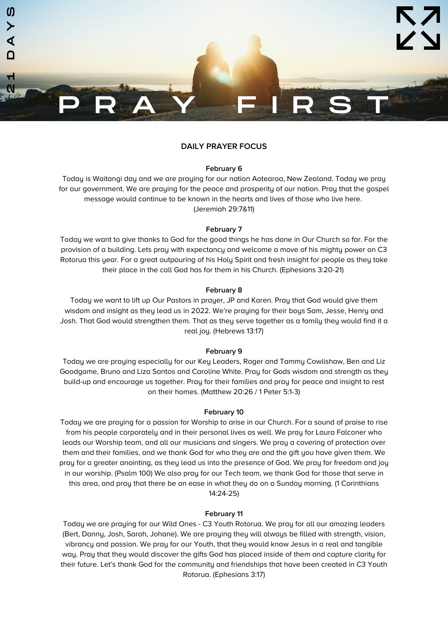

## **February 6**

Today is Waitangi day and we are praying for our nation Aotearoa, New Zealand. Today we pray for our government. We are praying for the peace and prosperity of our nation. Pray that the gospel message would continue to be known in the hearts and lives of those who live here. (Jeremiah 29:7&11)

### **February 7**

Today we want to give thanks to God for the good things he has done in Our Church so far. For the provision of a building. Lets pray with expectancy and welcome a move of his mighty power on C3 Rotorua this year. For a great outpouring of his Holy Spirit and fresh insight for people as they take their place in the call God has for them in his Church. (Ephesians 3:20-21)

#### **February 8**

Today we want to lift up Our Pastors in prayer, JP and Karen. Pray that God would give them wisdom and insight as they lead us in 2022. We're praying for their boys Sam, Jesse, Henry and Josh. That God would strengthen them. That as they serve together as a family they would find it a real joy. (Hebrews 13:17)

#### **February 9**

Today we are praying especially for our Key Leaders, Roger and Tammy Cowlishaw, Ben and Liz Goodgame, Bruno and Liza Santos and Caroline White. Pray for Gods wisdom and strength as they build-up and encourage us together. Pray for their families and pray for peace and insight to rest on their homes. (Matthew 20:26 / 1 Peter 5:1-3)

#### **February 10**

Today we are praying for a passion for Worship to arise in our Church. For a sound of praise to rise from his people corporately and in their personal lives as well. We pray for Laura Falconer who leads our Worship team, and all our musicians and singers. We pray a covering of protection over them and their families, and we thank God for who they are and the gift you have given them. We pray for a greater anointing, as they lead us into the presence of God. We pray for freedom and joy in our worship. (Psalm 100) We also pray for our Tech team, we thank God for those that serve in this area, and pray that there be an ease in what they do on a Sunday morning. (1 Corinthians 14:24-25)

# **February 11**

Today we are praying for our Wild Ones - C3 Youth Rotorua. We pray for all our amazing leaders (Bert, Danny, Josh, Sarah, Johane). We are praying they will always be filled with strength, vision, vibrancy and passion. We pray for our Youth, that they would know Jesus in a real and tangible way. Pray that they would discover the gifts God has placed inside of them and capture clarity for their future. Let's thank God for the community and friendships that have been created in C3 Youth Rotorua. (Ephesians 3:17)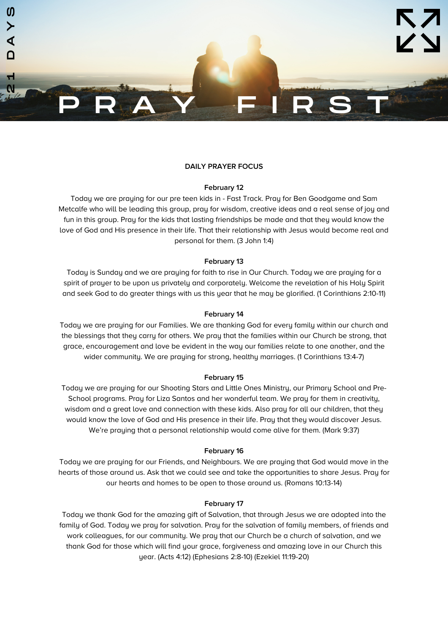

# **February 12**

Today we are praying for our pre teen kids in - Fast Track. Pray for Ben Goodgame and Sam Metcalfe who will be leading this group, pray for wisdom, creative ideas and a real sense of joy and fun in this group. Pray for the kids that lasting friendships be made and that they would know the love of God and His presence in their life. That their relationship with Jesus would become real and personal for them. (3 John 1:4)

## **February 13**

Today is Sunday and we are praying for faith to rise in Our Church. Today we are praying for a spirit of prayer to be upon us privately and corporately. Welcome the revelation of his Holy Spirit and seek God to do greater things with us this year that he may be glorified. (1 Corinthians 2:10-11)

### **February 14**

Today we are praying for our Families. We are thanking God for every family within our church and the blessings that they carry for others. We pray that the families within our Church be strong, that grace, encouragement and love be evident in the way our families relate to one another, and the wider community. We are praying for strong, healthy marriages. (1 Corinthians 13:4-7)

#### **February 15**

Today we are praying for our Shooting Stars and Little Ones Ministry, our Primary School and Pre-School programs. Pray for Liza Santos and her wonderful team. We pray for them in creativity, wisdom and a great love and connection with these kids. Also pray for all our children, that they would know the love of God and His presence in their life. Pray that they would discover Jesus. We're praying that a personal relationship would come alive for them. (Mark 9:37)

## **February 16**

Today we are praying for our Friends, and Neighbours. We are praying that God would move in the hearts of those around us. Ask that we could see and take the opportunities to share Jesus. Pray for our hearts and homes to be open to those around us. (Romans 10:13-14)

#### **February 17**

Today we thank God for the amazing gift of Salvation, that through Jesus we are adopted into the family of God. Today we pray for salvation. Pray for the salvation of family members, of friends and work colleagues, for our community. We pray that our Church be a church of salvation, and we thank God for those which will find your grace, forgiveness and amazing love in our Church this year. (Acts 4:12) (Ephesians 2:8-10) (Ezekiel 11:19-20)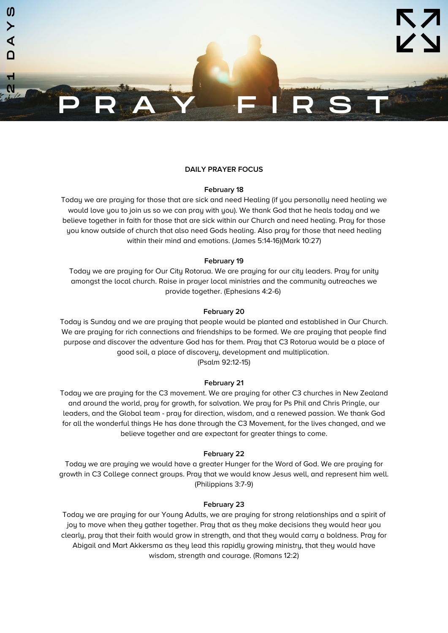

## **February 18**

Today we are praying for those that are sick and need Healing (if you personally need healing we would love you to join us so we can pray with you). We thank God that he heals today and we believe together in faith for those that are sick within our Church and need healing. Pray for those you know outside of church that also need Gods healing. Also pray for those that need healing within their mind and emotions. (James 5:14-16)(Mark 10:27)

## **February 19**

Today we are praying for Our City Rotorua. We are praying for our city leaders. Pray for unity amongst the local church. Raise in prayer local ministries and the community outreaches we provide together. (Ephesians 4:2-6)

### **February 20**

Today is Sunday and we are praying that people would be planted and established in Our Church. We are praying for rich connections and friendships to be formed. We are praying that people find purpose and discover the adventure God has for them. Pray that C3 Rotorua would be a place of good soil, a place of discovery, development and multiplication. (Psalm 92:12-15)

# **February 21**

Today we are praying for the C3 movement. We are praying for other C3 churches in New Zealand and around the world, pray for growth, for salvation. We pray for Ps Phil and Chris Pringle, our leaders, and the Global team - pray for direction, wisdom, and a renewed passion. We thank God for all the wonderful things He has done through the C3 Movement, for the lives changed, and we believe together and are expectant for greater things to come.

#### **February 22**

Today we are praying we would have a greater Hunger for the Word of God. We are praying for growth in C3 College connect groups. Pray that we would know Jesus well, and represent him well. (Philippians 3:7-9)

# **February 23**

Today we are praying for our Young Adults, we are praying for strong relationships and a spirit of joy to move when they gather together. Pray that as they make decisions they would hear you clearly, pray that their faith would grow in strength, and that they would carry a boldness. Pray for Abigail and Mart Akkersma as they lead this rapidly growing ministry, that they would have wisdom, strength and courage. (Romans 12:2)